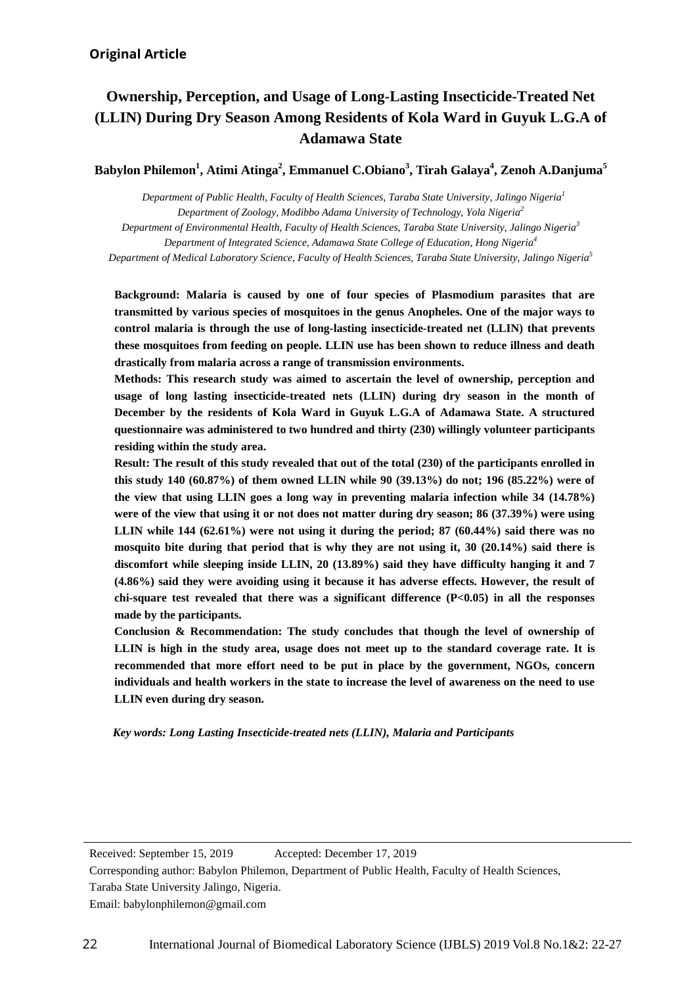# **Ownership, Perception, and Usage of Long-Lasting Insecticide-Treated Net (LLIN) During Dry Season Among Residents of Kola Ward in Guyuk L.G.A of Adamawa State**

**Babylon Philemon1 , Atimi Atinga2 , Emmanuel C.Obiano<sup>3</sup> , Tirah Galaya4 , Zenoh A.Danjuma<sup>5</sup>**

 *Department of Public Health, Faculty of Health Sciences, Taraba State University, Jalingo Nigeria<sup>1</sup> Department of Zoology, Modibbo Adama University of Technology, Yola Nigeria<sup>2</sup>*

 *Department of Integrated Science, Adamawa State College of Education, Hong Nigeria<sup>4</sup> Department of Environmental Health, Faculty of Health Sciences, Taraba State University, Jalingo Nigeria<sup>3</sup>*

*Department of Medical Laboratory Science, Faculty of Health Sciences, Taraba State University, Jalingo Nigeria<sup>5</sup>*

 **Background: Malaria is caused by one of four species of Plasmodium parasites that are control malaria is through the use of long-lasting insecticide-treated net (LLIN) that prevents these mosquitoes from feeding on people. LLIN use has been shown to reduce illness and death transmitted by various species of mosquitoes in the genus Anopheles. One of the major ways to drastically from malaria across a range of transmission environments.** 

 **Methods: This research study was aimed to ascertain the level of ownership, perception and December by the residents of Kola Ward in Guyuk L.G.A of Adamawa State. A structured questionnaire was administered to two hundred and thirty (230) willingly volunteer participants usage of long lasting insecticide-treated nets (LLIN) during dry season in the month of residing within the study area.** 

 **the view that using LLIN goes a long way in preventing malaria infection while 34 (14.78%) were of the view that using it or not does not matter during dry season; 86 (37.39%) were using LLIN while 144 (62.61%) were not using it during the period; 87 (60.44%) said there was no mosquito bite during that period that is why they are not using it, 30 (20.14%) said there is (4.86%) said they were avoiding using it because it has adverse effects. However, the result of chi-square test revealed that there was a significant difference (P<0.05) in all the responses made by the participants. Result: The result of this study revealed that out of the total (230) of the participants enrolled in this study 140 (60.87%) of them owned LLIN while 90 (39.13%) do not; 196 (85.22%) were of discomfort while sleeping inside LLIN, 20 (13.89%) said they have difficulty hanging it and 7**

 **Conclusion & Recommendation: The study concludes that though the level of ownership of recommended that more effort need to be put in place by the government, NGOs, concern individuals and health workers in the state to increase the level of awareness on the need to use LLIN even during dry season. LLIN is high in the study area, usage does not meet up to the standard coverage rate. It is** 

 $\overline{\phantom{a}}$ *Key words: Long Lasting Insecticide-treated nets (LLIN), Malaria and Participants*

 Received: September 15, 2019 Accepted: December 17, 2019 Accepted: December 17, 2019

 Corresponding author: Babylon Philemon, Department of Public Health, Faculty of Health Sciences, Taraba State University Jalingo, Nigeria.

Email: babylonphilemon@gmail.com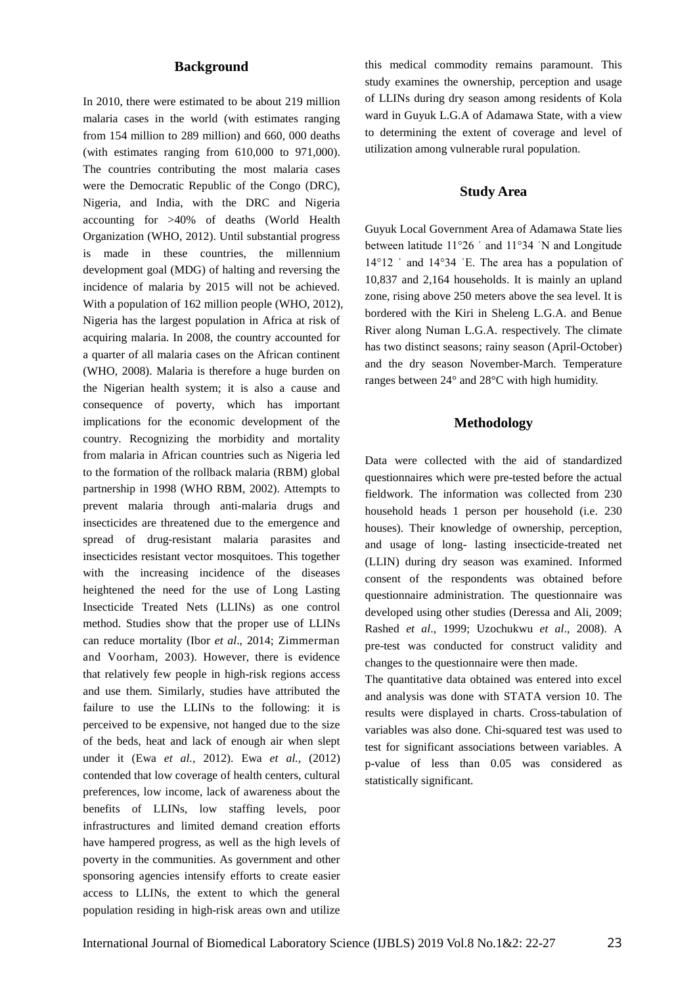#### **Background**

In 2010, there were estimated to be about 219 million malaria cases in the world (with estimates ranging from 154 million to 289 million) and 660, 000 deaths (with estimates ranging from 610,000 to 971,000). The countries contributing the most malaria cases were the Democratic Republic of the Congo (DRC), Nigeria, and India, with the DRC and Nigeria accounting for >40% of deaths (World Health Organization (WHO, 2012). Until substantial progress is made in these countries, the millennium development goal (MDG) of halting and reversing the incidence of malaria by 2015 will not be achieved. With a population of 162 million people (WHO, 2012), Nigeria has the largest population in Africa at risk of acquiring malaria. In 2008, the country accounted for a quarter of all malaria cases on the African continent (WHO, 2008). Malaria is therefore a huge burden on the Nigerian health system; it is also a cause and consequence of poverty, which has important implications for the economic development of the country. Recognizing the morbidity and mortality from malaria in African countries such as Nigeria led to the formation of the rollback malaria (RBM) global partnership in 1998 (WHO RBM, 2002). Attempts to prevent malaria through anti-malaria drugs and insecticides are threatened due to the emergence and spread of drug-resistant malaria parasites and insecticides resistant vector mosquitoes. This together with the increasing incidence of the diseases heightened the need for the use of Long Lasting Insecticide Treated Nets (LLINs) as one control method. Studies show that the proper use of LLINs can reduce mortality (Ibor *et al*., 2014; [Zimmerman](https://scialert.net/fulltextmobile/?doi=jms.2012.198.206#1124195_ja) and [Voorham,](https://scialert.net/fulltextmobile/?doi=jms.2012.198.206#1124195_ja) 2003). However, there is evidence that relatively few people in high-risk regions access and use them. Similarly, studies have attributed the failure to use the LLINs to the following: it is perceived to be expensive, not hanged due to the size of the beds, heat and lack of enough air when slept under it (Ewa *et al.,* 2012). Ewa *et al.,* (2012) contended that low coverage of health centers, cultural preferences, low income, lack of awareness about the benefits of LLINs, low staffing levels, poor infrastructures and limited demand creation efforts have hampered progress, as well as the high levels of poverty in the communities. As government and other sponsoring agencies intensify efforts to create easier access to LLINs, the extent to which the general population residing in high-risk areas own and utilize

this medical commodity remains paramount. This study examines the ownership, perception and usage of LLINs during dry season among residents of Kola ward in Guyuk L.G.A of Adamawa State, with a view to determining the extent of coverage and level of utilization among vulnerable rural population.

## **Study Area**

Guyuk Local Government Area of Adamawa State lies between latitude 11°26 ˈ and 11°34 ˈN and Longitude 14°12 ˈ and 14°34 ˈE. The area has a population of 10,837 and 2,164 households. It is mainly an upland zone, rising above 250 meters above the sea level. It is bordered with the Kiri in Sheleng L.G.A. and Benue River along Numan L.G.A. respectively. The climate has two distinct seasons; rainy season (April-October) and the dry season November-March. Temperature ranges between 24° and 28°C with high humidity.

#### **Methodology**

Data were collected with the aid of standardized questionnaires which were pre-tested before the actual fieldwork. The information was collected from 230 household heads 1 person per household (i.e. 230 houses). Their knowledge of ownership, perception, and usage of long- lasting insecticide-treated net (LLIN) during dry season was examined. Informed consent of the respondents was obtained before questionnaire administration. The questionnaire was developed using other studies (Deressa and Ali*,* 2009; Rashed *et al*., 1999; Uzochukwu *et al*., 2008). A pre-test was conducted for construct validity and changes to the questionnaire were then made.

The quantitative data obtained was entered into excel and analysis was done with STATA version 10. The results were displayed in charts. Cross-tabulation of variables was also done. Chi-squared test was used to test for significant associations between variables. A p-value of less than 0.05 was considered as statistically significant.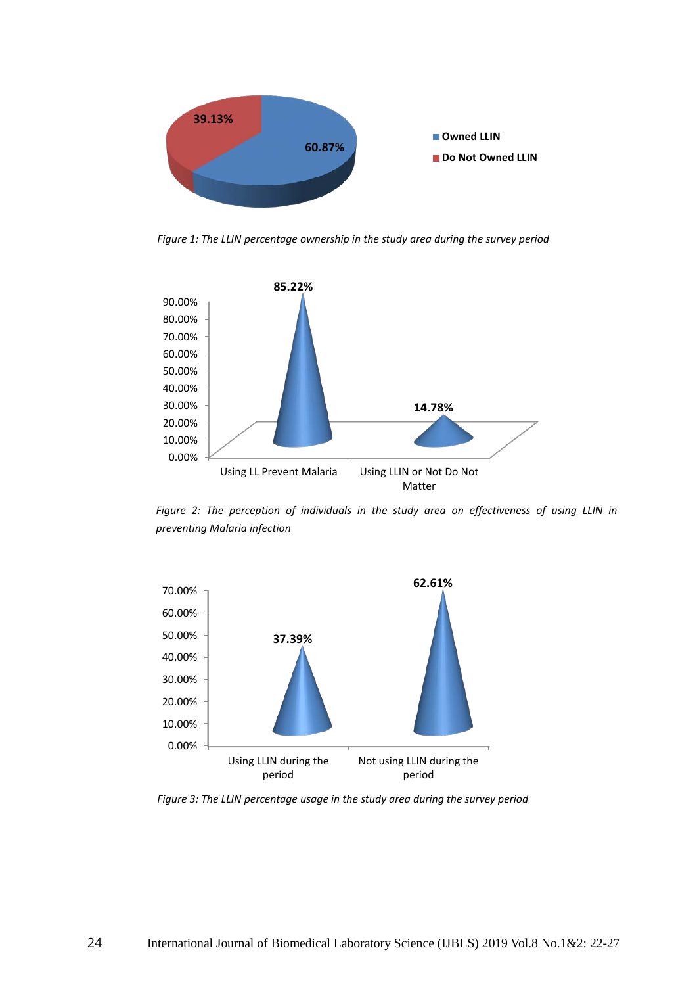

*Figure 1: The LLIN percentage ownership in the study area during the survey period*



Figure 2: The perception of individuals in the study area on effectiveness of using LLIN in *preventing Malaria infection* 



*Figure 3: The LLIN percentage usage in the study area during the survey period*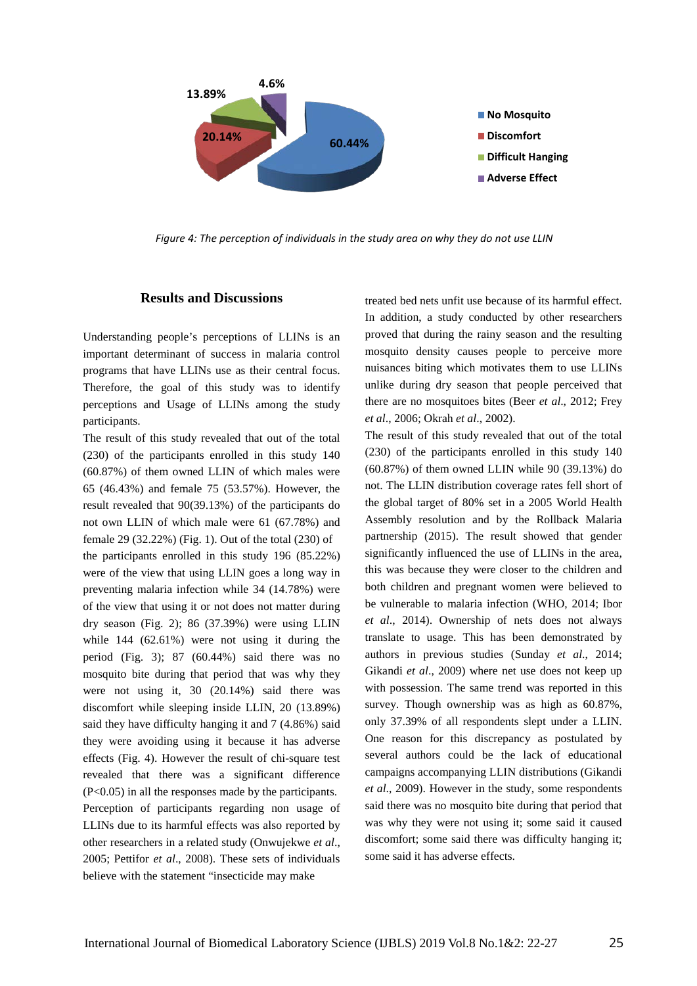

*Figure 4: The perception of individuals in the study area on why they do not use LLIN*

#### **Results and Discussions**

Understanding people's perceptions of LLINs is an important determinant of success in malaria control programs that have LLINs use as their central focus. Therefore, the goal of this study was to identify perceptions and Usage of LLINs among the study participants.

The result of this study revealed that out of the total (230) of the participants enrolled in this study 140 (60.87%) of them owned LLIN of which males were 65 (46.43%) and female 75 (53.57%). However, the result revealed that 90(39.13%) of the participants do not own LLIN of which male were 61 (67.78%) and female 29 (32.22%) (Fig. 1). Out of the total (230) of the participants enrolled in this study 196 (85.22%) were of the view that using LLIN goes a long way in preventing malaria infection while 34 (14.78%) were of the view that using it or not does not matter during dry season (Fig. 2); 86 (37.39%) were using LLIN while 144 (62.61%) were not using it during the period (Fig. 3); 87 (60.44%) said there was no mosquito bite during that period that was why they were not using it, 30 (20.14%) said there was discomfort while sleeping inside LLIN, 20 (13.89%) said they have difficulty hanging it and 7 (4.86%) said they were avoiding using it because it has adverse effects (Fig. 4). However the result of chi-square test revealed that there was a significant difference (P<0.05) in all the responses made by the participants. Perception of participants regarding non usage of LLINs due to its harmful effects was also reported by other researchers in a related study (Onwujekwe *et al*., 2005; Pettifor *et al*., 2008). These sets of individuals believe with the statement "insecticide may make

treated bed nets unfit use because of its harmful effect. In addition, a study conducted by other researchers proved that during the rainy season and the resulting mosquito density causes people to perceive more nuisances biting which motivates them to use LLINs unlike during dry season that people perceived that there are no mosquitoes bites (Beer *et al*., 2012; Frey *et al*., 2006; Okrah *et al*., 2002).

The result of this study revealed that out of the total (230) of the participants enrolled in this study 140 (60.87%) of them owned LLIN while 90 (39.13%) do not. The LLIN distribution coverage rates fell short of the global target of 80% set in a 2005 World Health Assembly resolution and by the Rollback Malaria partnership (2015). The result showed that gender significantly influenced the use of LLINs in the area, this was because they were closer to the children and both children and pregnant women were believed to be vulnerable to malaria infection (WHO, 2014; Ibor *et al*., 2014). Ownership of nets does not always translate to usage. This has been demonstrated by authors in previous studies (Sunday *et al*., 2014; Gikandi *et al*., 2009) where net use does not keep up with possession. The same trend was reported in this survey. Though ownership was as high as 60.87%, only 37.39% of all respondents slept under a LLIN. One reason for this discrepancy as postulated by several authors could be the lack of educational campaigns accompanying LLIN distributions (Gikandi *et al*., 2009). However in the study, some respondents said there was no mosquito bite during that period that was why they were not using it; some said it caused discomfort; some said there was difficulty hanging it; some said it has adverse effects.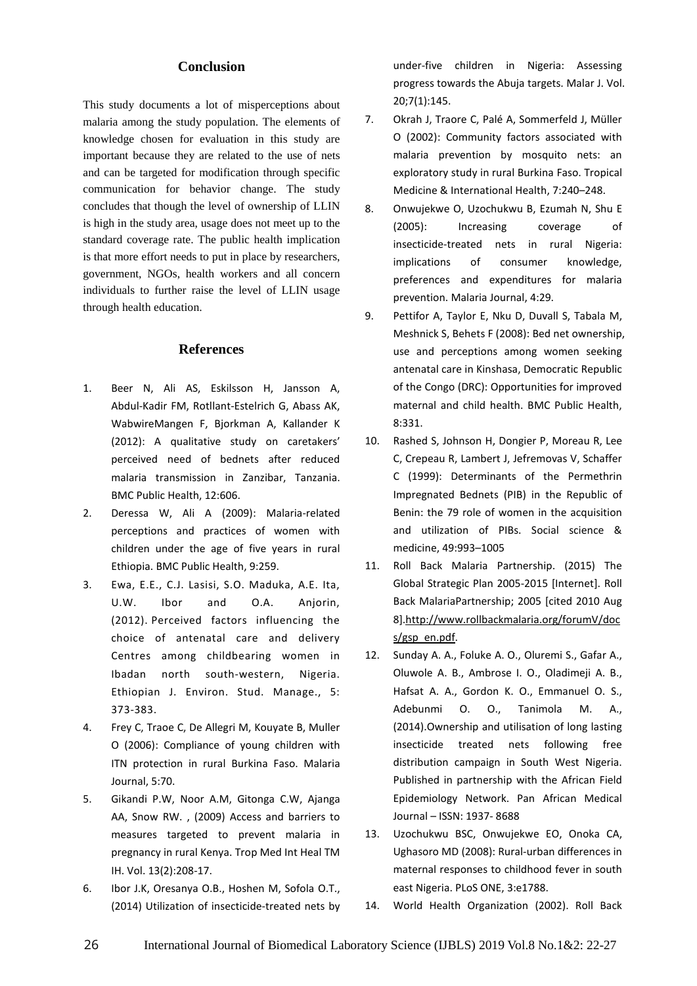# **Conclusion**

This study documents a lot of misperceptions about malaria among the study population. The elements of knowledge chosen for evaluation in this study are important because they are related to the use of nets and can be targeted for modification through specific communication for behavior change. The study concludes that though the level of ownership of LLIN is high in the study area, usage does not meet up to the standard coverage rate. The public health implication is that more effort needs to put in place by researchers, government, NGOs, health workers and all concern individuals to further raise the level of LLIN usage through health education.

### **References**

- 1. Beer N, Ali AS, Eskilsson H, Jansson A, Abdul-Kadir FM, Rotllant-Estelrich G, Abass AK, WabwireMangen F, Bjorkman A, Kallander K (2012): A qualitative study on caretakers' perceived need of bednets after reduced malaria transmission in Zanzibar, Tanzania. BMC Public Health, 12:606.
- 2. Deressa W, Ali A (2009): Malaria-related perceptions and practices of women with children under the age of five years in rural Ethiopia. BMC Public Health, 9:259.
- 3. Ewa, E.E., C.J. Lasisi, S.O. Maduka, A.E. Ita, U.W. Ibor and O.A. Anjorin, (2012). Perceived factors influencing the choice of antenatal care and delivery Centres among childbearing women in Ibadan north south-western, Nigeria. Ethiopian J. Environ. Stud. Manage., 5: 373-383.
- 4. Frey C, Traoe C, De Allegri M, Kouyate B, Muller O (2006): Compliance of young children with ITN protection in rural Burkina Faso. Malaria Journal, 5:70.
- 5. Gikandi P.W, Noor A.M, Gitonga C.W, Ajanga AA, Snow RW. , (2009) Access and barriers to measures targeted to prevent malaria in pregnancy in rural Kenya. Trop Med Int Heal TM IH. Vol. 13(2):208-17.
- 6. Ibor J.K, Oresanya O.B., Hoshen M, Sofola O.T., (2014) Utilization of insecticide-treated nets by

under-five children in Nigeria: Assessing progress towards the Abuja targets. Malar J. Vol. 20;7(1):145.

- 7. Okrah J, Traore C, Palé A, Sommerfeld J, Müller O (2002): Community factors associated with malaria prevention by mosquito nets: an exploratory study in rural Burkina Faso. Tropical Medicine & International Health, 7:240–248.
- 8. Onwujekwe O, Uzochukwu B, Ezumah N, Shu E (2005): Increasing coverage of insecticide-treated nets in rural Nigeria: implications of consumer knowledge, preferences and expenditures for malaria prevention. Malaria Journal, 4:29.
- 9. Pettifor A, Taylor E, Nku D, Duvall S, Tabala M, Meshnick S, Behets F (2008): Bed net ownership, use and perceptions among women seeking antenatal care in Kinshasa, Democratic Republic of the Congo (DRC): Opportunities for improved maternal and child health. BMC Public Health, 8:331.
- 10. Rashed S, Johnson H, Dongier P, Moreau R, Lee C, Crepeau R, Lambert J, Jefremovas V, Schaffer C (1999): Determinants of the Permethrin Impregnated Bednets (PIB) in the Republic of Benin: the 79 role of women in the acquisition and utilization of PIBs. Social science & medicine, 49:993–1005
- 11. Roll Back Malaria Partnership. (2015) The Global Strategic Plan 2005-2015 [Internet]. Roll Back MalariaPartnership; 2005 [cited 2010 Aug 8[\].http://www.rollbackmalaria.org/forumV/doc](http://www.rollbackmalaria.org/forumV/docs/gsp_en.pdf) [s/gsp\\_en.pdf.](http://www.rollbackmalaria.org/forumV/docs/gsp_en.pdf)
- 12. Sunday A. A., Foluke A. O., Oluremi S., Gafar A., Oluwole A. B., Ambrose I. O., Oladimeji A. B., Hafsat A. A., Gordon K. O., Emmanuel O. S., Adebunmi O. O., Tanimola M. A., (2014).Ownership and utilisation of long lasting insecticide treated nets following free distribution campaign in South West Nigeria. Published in partnership with the African Field Epidemiology Network. Pan African Medical Journal – ISSN: 1937- 8688
- 13. Uzochukwu BSC, Onwujekwe EO, Onoka CA, Ughasoro MD (2008): Rural-urban differences in maternal responses to childhood fever in south east Nigeria. PLoS ONE, 3:e1788.
- 14. World Health Organization (2002). Roll Back